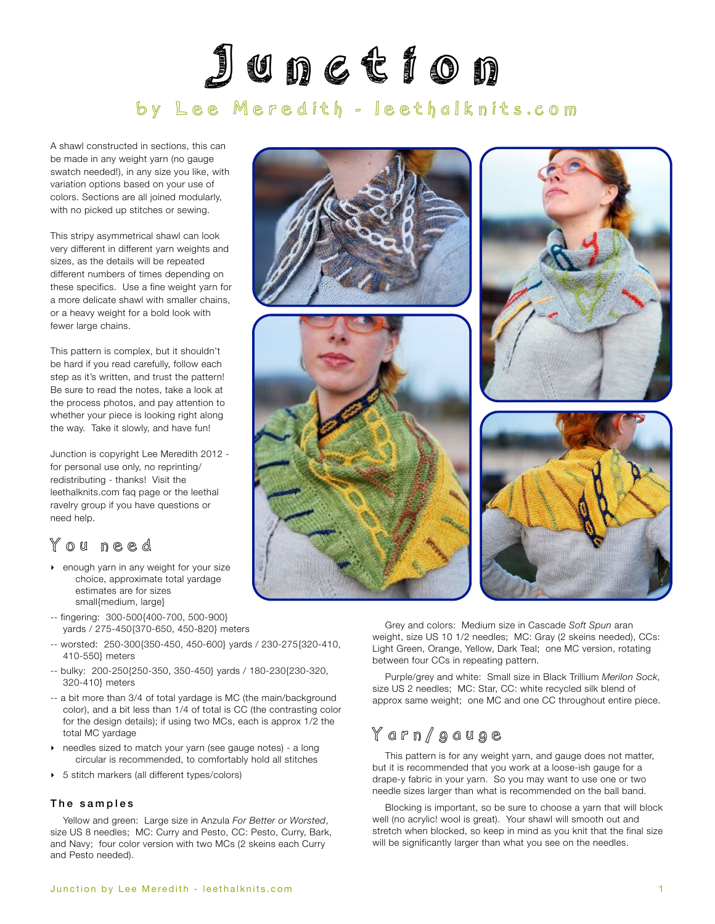# Junction by Lee Meredith - [leethalknits.com](http://www.leethalknits.com)

A shawl constructed in sections, this can be made in any weight yarn (no gauge swatch needed!), in any size you like, with variation options based on your use of colors. Sections are all joined modularly, with no picked up stitches or sewing.

This stripy asymmetrical shawl can look very different in different yarn weights and sizes, as the details will be repeated different numbers of times depending on these specifics. Use a fine weight yarn for a more delicate shawl with smaller chains, or a heavy weight for a bold look with fewer large chains.

This pattern is complex, but it shouldn't be hard if you read carefully, follow each step as it's written, and trust the pattern! Be sure to read the notes, take a look at the process photos, and pay attention to whether your piece is looking right along the way. Take it slowly, and have fun!

Junction is copyright Lee Meredith 2012 for personal use only, no reprinting/ redistributing - thanks! Visit the leethalknits.com [faq page](http://www.leethalknits.com/faq.html) or the leethal [ravelry group](http://www.ravelry.com/groups/leethal-knitters) if you have questions or need help.

## You need

- ‣ enough yarn in any weight for your size choice, approximate total yardage estimates are for sizes small{medium, large}
- -- fingering: 300-500{400-700, 500-900} yards / 275-450{370-650, 450-820} meters
- -- worsted: 250-300{350-450, 450-600} yards / 230-275{320-410, 410-550} meters
- -- bulky: 200-250{250-350, 350-450} yards / 180-230{230-320, 320-410} meters
- -- a bit more than 3/4 of total yardage is MC (the main/background color), and a bit less than 1/4 of total is CC (the contrasting color for the design details); if using two MCs, each is approx 1/2 the total MC yardage
- needles sized to match your yarn (see gauge notes) a long circular is recommended, to comfortably hold all stitches
- ‣ 5 stitch markers (all different types/colors)

#### The samples

Yellow and green: Large size in Anzula *For Better or Worsted*, size US 8 needles; MC: Curry and Pesto, CC: Pesto, Curry, Bark, and Navy; four color version with two MCs (2 skeins each Curry and Pesto needed).







Grey and colors: Medium size in Cascade *Soft Spun* aran weight, size US 10 1/2 needles; MC: Gray (2 skeins needed), CCs: Light Green, Orange, Yellow, Dark Teal; one MC version, rotating between four CCs in repeating pattern.

Purple/grey and white: Small size in Black Trillium *Merilon Sock*, size US 2 needles; MC: Star, CC: white recycled silk blend of approx same weight; one MC and one CC throughout entire piece.

## Yarn/gauge

This pattern is for any weight yarn, and gauge does not matter, but it is recommended that you work at a loose-ish gauge for a drape-y fabric in your yarn. So you may want to use one or two needle sizes larger than what is recommended on the ball band.

Blocking is important, so be sure to choose a yarn that will block well (no acrylic! wool is great). Your shawl will smooth out and stretch when blocked, so keep in mind as you knit that the final size will be significantly larger than what you see on the needles.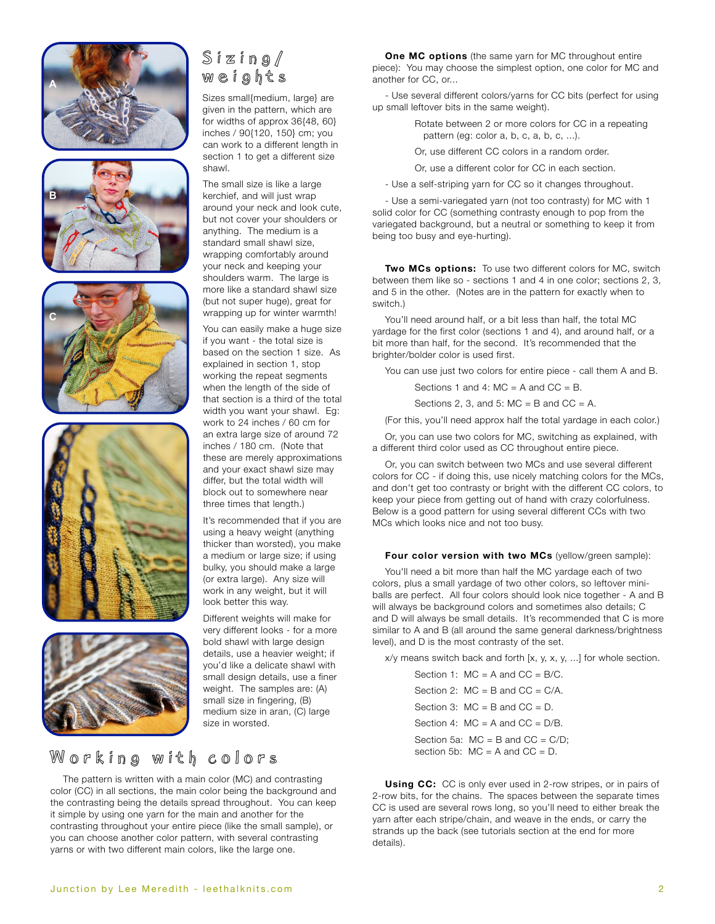









## Sizing/ weights

Sizes small{medium, large} are given in the pattern, which are for widths of approx 36{48, 60} inches / 90{120, 150} cm; you can work to a different length in section 1 to get a different size shawl.

The small size is like a large kerchief, and will just wrap around your neck and look cute, but not cover your shoulders or anything. The medium is a standard small shawl size, wrapping comfortably around your neck and keeping your shoulders warm. The large is more like a standard shawl size (but not super huge), great for wrapping up for winter warmth!

You can easily make a huge size if you want - the total size is based on the section 1 size. As explained in section 1, stop working the repeat segments when the length of the side of that section is a third of the total width you want your shawl. Eg: work to 24 inches / 60 cm for an extra large size of around 72 inches / 180 cm. (Note that these are merely approximations and your exact shawl size may differ, but the total width will block out to somewhere near three times that length.)

It's recommended that if you are using a heavy weight (anything thicker than worsted), you make a medium or large size; if using bulky, you should make a large (or extra large). Any size will work in any weight, but it will look better this way.

Different weights will make for very different looks - for a more bold shawl with large design details, use a heavier weight; if you'd like a delicate shawl with small design details, use a finer weight. The samples are: (A) small size in fingering, (B) medium size in aran, (C) large size in worsted.

## Working with colors

The pattern is written with a main color (MC) and contrasting color (CC) in all sections, the main color being the background and the contrasting being the details spread throughout. You can keep it simple by using one yarn for the main and another for the contrasting throughout your entire piece (like the small sample), or you can choose another color pattern, with several contrasting yarns or with two different main colors, like the large one.

**One MC options** (the same yarn for MC throughout entire piece): You may choose the simplest option, one color for MC and another for CC, or...

- Use several different colors/yarns for CC bits (perfect for using up small leftover bits in the same weight).

> Rotate between 2 or more colors for CC in a repeating pattern (eg: color a, b, c, a, b, c, ...).

Or, use different CC colors in a random order.

Or, use a different color for CC in each section.

- Use a self-striping yarn for CC so it changes throughout.

- Use a semi-variegated yarn (not too contrasty) for MC with 1 solid color for CC (something contrasty enough to pop from the variegated background, but a neutral or something to keep it from being too busy and eye-hurting).

**Two MCs options:** To use two different colors for MC, switch between them like so - sections 1 and 4 in one color; sections 2, 3, and 5 in the other. (Notes are in the pattern for exactly when to switch.)

You'll need around half, or a bit less than half, the total MC yardage for the first color (sections 1 and 4), and around half, or a bit more than half, for the second. It's recommended that the brighter/bolder color is used first.

You can use just two colors for entire piece - call them A and B.

Sections 1 and 4:  $MC = A$  and  $CC = B$ .

Sections 2, 3, and 5:  $MC = B$  and  $CC = A$ .

(For this, you'll need approx half the total yardage in each color.)

Or, you can use two colors for MC, switching as explained, with a different third color used as CC throughout entire piece.

Or, you can switch between two MCs and use several different colors for CC - if doing this, use nicely matching colors for the MCs, and don't get too contrasty or bright with the different CC colors, to keep your piece from getting out of hand with crazy colorfulness. Below is a good pattern for using several different CCs with two MCs which looks nice and not too busy.

#### **Four color version with two MCs** (yellow/green sample):

You'll need a bit more than half the MC yardage each of two colors, plus a small yardage of two other colors, so leftover miniballs are perfect. All four colors should look nice together - A and B will always be background colors and sometimes also details; C and D will always be small details. It's recommended that C is more similar to A and B (all around the same general darkness/brightness level), and D is the most contrasty of the set.

x/y means switch back and forth [x, y, x, y, ...] for whole section.

**Using CC:** CC is only ever used in 2-row stripes, or in pairs of 2-row bits, for the chains. The spaces between the separate times CC is used are several rows long, so you'll need to either break the yarn after each stripe/chain, and weave in the ends, or carry the strands up the back (see tutorials section at the end for more details).